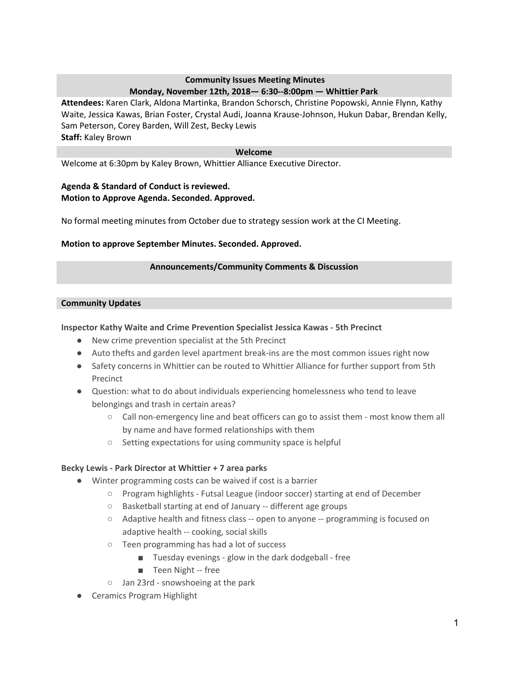# **Community Issues Meeting Minutes Monday, November 12th, 2018— 6:30--8:00pm — Whittier Park**

**Attendees:** Karen Clark, Aldona Martinka, Brandon Schorsch, Christine Popowski, Annie Flynn, Kathy Waite, Jessica Kawas, Brian Foster, Crystal Audi, Joanna Krause-Johnson, Hukun Dabar, Brendan Kelly, Sam Peterson, Corey Barden, Will Zest, Becky Lewis **Staff:** Kaley Brown

### **Welcome**

Welcome at 6:30pm by Kaley Brown, Whittier Alliance Executive Director.

### **Agenda & Standard of Conduct is reviewed. Motion to Approve Agenda. Seconded. Approved.**

No formal meeting minutes from October due to strategy session work at the CI Meeting.

### **Motion to approve September Minutes. Seconded. Approved.**

### **Announcements/Community Comments & Discussion**

#### **Community Updates**

### **Inspector Kathy Waite and Crime Prevention Specialist Jessica Kawas - 5th Precinct**

- New crime prevention specialist at the 5th Precinct
- Auto thefts and garden level apartment break-ins are the most common issues right now
- Safety concerns in Whittier can be routed to Whittier Alliance for further support from 5th Precinct
- Question: what to do about individuals experiencing homelessness who tend to leave belongings and trash in certain areas?
	- Call non-emergency line and beat officers can go to assist them most know them all by name and have formed relationships with them
	- Setting expectations for using community space is helpful

### **Becky Lewis - Park Director at Whittier + 7 area parks**

- Winter programming costs can be waived if cost is a barrier
	- Program highlights Futsal League (indoor soccer) starting at end of December
	- Basketball starting at end of January -- different age groups
	- Adaptive health and fitness class -- open to anyone -- programming is focused on adaptive health -- cooking, social skills
	- Teen programming has had a lot of success
		- Tuesday evenings glow in the dark dodgeball free
		- Teen Night -- free
	- Jan 23rd snowshoeing at the park
- Ceramics Program Highlight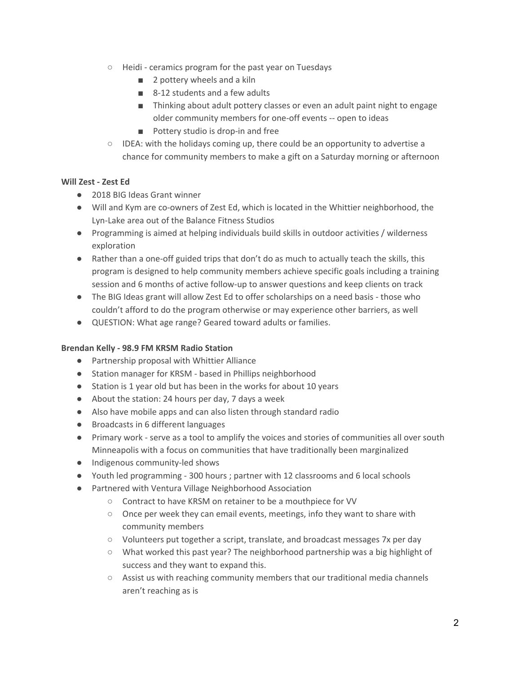- Heidi ceramics program for the past year on Tuesdays
	- 2 pottery wheels and a kiln
	- 8-12 students and a few adults
	- Thinking about adult pottery classes or even an adult paint night to engage older community members for one-off events -- open to ideas
	- Pottery studio is drop-in and free
- IDEA: with the holidays coming up, there could be an opportunity to advertise a chance for community members to make a gift on a Saturday morning or afternoon

## **Will Zest - Zest Ed**

- 2018 BIG Ideas Grant winner
- Will and Kym are co-owners of Zest Ed, which is located in the Whittier neighborhood, the Lyn-Lake area out of the Balance Fitness Studios
- Programming is aimed at helping individuals build skills in outdoor activities / wilderness exploration
- Rather than a one-off guided trips that don't do as much to actually teach the skills, this program is designed to help community members achieve specific goals including a training session and 6 months of active follow-up to answer questions and keep clients on track
- The BIG Ideas grant will allow Zest Ed to offer scholarships on a need basis those who couldn't afford to do the program otherwise or may experience other barriers, as well
- QUESTION: What age range? Geared toward adults or families.

### **Brendan Kelly - 98.9 FM KRSM Radio Station**

- Partnership proposal with Whittier Alliance
- Station manager for KRSM based in Phillips neighborhood
- Station is 1 year old but has been in the works for about 10 years
- About the station: 24 hours per day, 7 days a week
- Also have mobile apps and can also listen through standard radio
- Broadcasts in 6 different languages
- Primary work serve as a tool to amplify the voices and stories of communities all over south Minneapolis with a focus on communities that have traditionally been marginalized
- Indigenous community-led shows
- Youth led programming 300 hours ; partner with 12 classrooms and 6 local schools
- Partnered with Ventura Village Neighborhood Association
	- Contract to have KRSM on retainer to be a mouthpiece for VV
	- Once per week they can email events, meetings, info they want to share with community members
	- Volunteers put together a script, translate, and broadcast messages 7x per day
	- What worked this past year? The neighborhood partnership was a big highlight of success and they want to expand this.
	- Assist us with reaching community members that our traditional media channels aren't reaching as is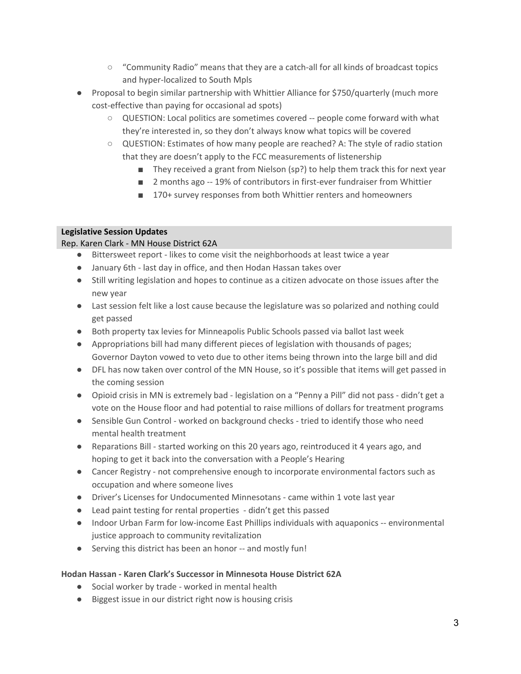- "Community Radio" means that they are a catch-all for all kinds of broadcast topics and hyper-localized to South Mpls
- Proposal to begin similar partnership with Whittier Alliance for \$750/quarterly (much more cost-effective than paying for occasional ad spots)
	- QUESTION: Local politics are sometimes covered -- people come forward with what they're interested in, so they don't always know what topics will be covered
	- QUESTION: Estimates of how many people are reached? A: The style of radio station that they are doesn't apply to the FCC measurements of listenership
		- They received a grant from Nielson (sp?) to help them track this for next year
		- 2 months ago -- 19% of contributors in first-ever fundraiser from Whittier
		- 170+ survey responses from both Whittier renters and homeowners

## **Legislative Session Updates**

## Rep. Karen Clark - MN House District 62A

- Bittersweet report likes to come visit the neighborhoods at least twice a year
- January 6th last day in office, and then Hodan Hassan takes over
- Still writing legislation and hopes to continue as a citizen advocate on those issues after the new year
- Last session felt like a lost cause because the legislature was so polarized and nothing could get passed
- Both property tax levies for Minneapolis Public Schools passed via ballot last week
- Appropriations bill had many different pieces of legislation with thousands of pages; Governor Dayton vowed to veto due to other items being thrown into the large bill and did
- DFL has now taken over control of the MN House, so it's possible that items will get passed in the coming session
- Opioid crisis in MN is extremely bad legislation on a "Penny a Pill" did not pass didn't get a vote on the House floor and had potential to raise millions of dollars for treatment programs
- Sensible Gun Control worked on background checks tried to identify those who need mental health treatment
- Reparations Bill started working on this 20 years ago, reintroduced it 4 years ago, and hoping to get it back into the conversation with a People's Hearing
- Cancer Registry not comprehensive enough to incorporate environmental factors such as occupation and where someone lives
- Driver's Licenses for Undocumented Minnesotans came within 1 vote last year
- Lead paint testing for rental properties didn't get this passed
- Indoor Urban Farm for low-income East Phillips individuals with aquaponics -- environmental justice approach to community revitalization
- Serving this district has been an honor -- and mostly fun!

## **Hodan Hassan - Karen Clark's Successor in Minnesota House District 62A**

- Social worker by trade worked in mental health
- Biggest issue in our district right now is housing crisis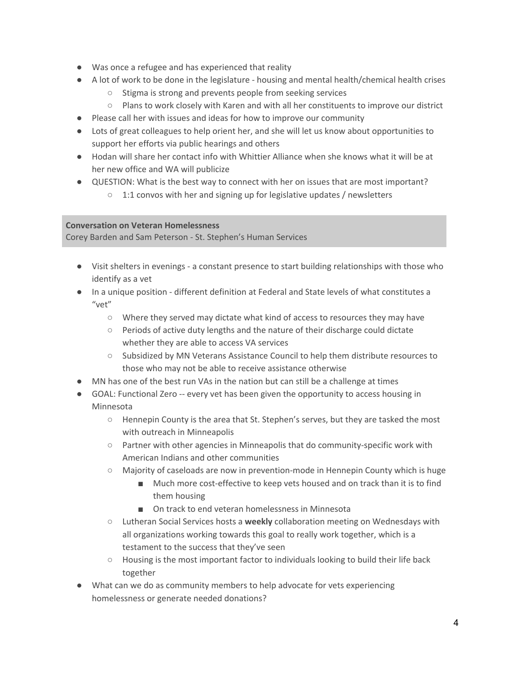- Was once a refugee and has experienced that reality
- A lot of work to be done in the legislature housing and mental health/chemical health crises
	- Stigma is strong and prevents people from seeking services
	- Plans to work closely with Karen and with all her constituents to improve our district
- Please call her with issues and ideas for how to improve our community
- Lots of great colleagues to help orient her, and she will let us know about opportunities to support her efforts via public hearings and others
- Hodan will share her contact info with Whittier Alliance when she knows what it will be at her new office and WA will publicize
- QUESTION: What is the best way to connect with her on issues that are most important?
	- 1:1 convos with her and signing up for legislative updates / newsletters

## **Conversation on Veteran Homelessness**

Corey Barden and Sam Peterson - St. Stephen's Human Services

- Visit shelters in evenings a constant presence to start building relationships with those who identify as a vet
- In a unique position different definition at Federal and State levels of what constitutes a "vet"
	- Where they served may dictate what kind of access to resources they may have
	- Periods of active duty lengths and the nature of their discharge could dictate whether they are able to access VA services
	- Subsidized by MN Veterans Assistance Council to help them distribute resources to those who may not be able to receive assistance otherwise
- MN has one of the best run VAs in the nation but can still be a challenge at times
- GOAL: Functional Zero -- every vet has been given the opportunity to access housing in Minnesota
	- $\circ$  Hennepin County is the area that St. Stephen's serves, but they are tasked the most with outreach in Minneapolis
	- Partner with other agencies in Minneapolis that do community-specific work with American Indians and other communities
	- Majority of caseloads are now in prevention-mode in Hennepin County which is huge
		- Much more cost-effective to keep vets housed and on track than it is to find them housing
		- On track to end veteran homelessness in Minnesota
	- Lutheran Social Services hosts a **weekly** collaboration meeting on Wednesdays with all organizations working towards this goal to really work together, which is a testament to the success that they've seen
	- Housing is the most important factor to individuals looking to build their life back together
- What can we do as community members to help advocate for vets experiencing homelessness or generate needed donations?